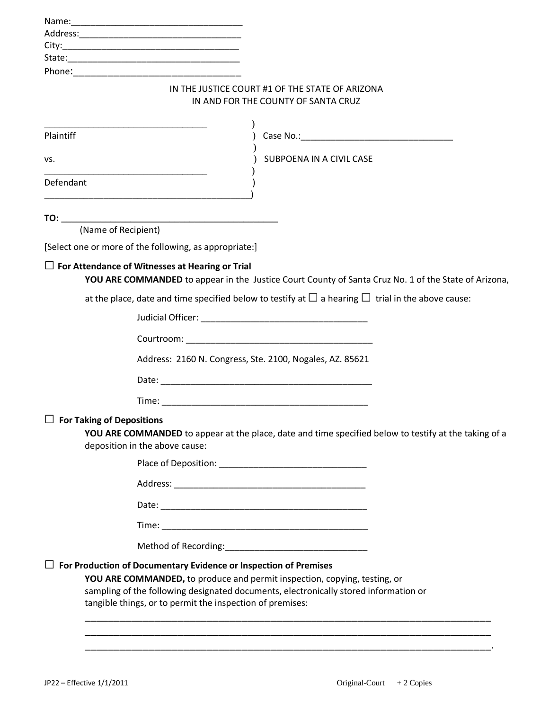|           |                                                                           | IN THE JUSTICE COURT #1 OF THE STATE OF ARIZONA<br>IN AND FOR THE COUNTY OF SANTA CRUZ                      |
|-----------|---------------------------------------------------------------------------|-------------------------------------------------------------------------------------------------------------|
|           |                                                                           |                                                                                                             |
| Plaintiff |                                                                           |                                                                                                             |
|           |                                                                           | SUBPOENA IN A CIVIL CASE                                                                                    |
| VS.       | <u> 1989 - Johann Stein, mars an deus Amerikaansk kommunister (</u>       |                                                                                                             |
| Defendant |                                                                           |                                                                                                             |
|           |                                                                           |                                                                                                             |
|           |                                                                           |                                                                                                             |
|           | (Name of Recipient)                                                       |                                                                                                             |
|           | [Select one or more of the following, as appropriate:]                    |                                                                                                             |
|           | $\Box$ For Attendance of Witnesses at Hearing or Trial                    | YOU ARE COMMANDED to appear in the Justice Court County of Santa Cruz No. 1 of the State of Arizona,        |
|           |                                                                           |                                                                                                             |
|           |                                                                           | at the place, date and time specified below to testify at $\Box$ a hearing $\Box$ trial in the above cause: |
|           |                                                                           |                                                                                                             |
|           |                                                                           |                                                                                                             |
|           | Address: 2160 N. Congress, Ste. 2100, Nogales, AZ. 85621                  |                                                                                                             |
|           |                                                                           |                                                                                                             |
|           |                                                                           |                                                                                                             |
|           |                                                                           |                                                                                                             |
|           | <b>For Taking of Depositions</b><br>deposition in the above cause:        | YOU ARE COMMANDED to appear at the place, date and time specified below to testify at the taking of a       |
|           |                                                                           |                                                                                                             |
|           |                                                                           |                                                                                                             |
|           |                                                                           |                                                                                                             |
|           |                                                                           |                                                                                                             |
|           |                                                                           |                                                                                                             |
|           | For Production of Documentary Evidence or Inspection of Premises          |                                                                                                             |
|           | YOU ARE COMMANDED, to produce and permit inspection, copying, testing, or |                                                                                                             |
|           | tangible things, or to permit the inspection of premises:                 | sampling of the following designated documents, electronically stored information or                        |
|           |                                                                           |                                                                                                             |
|           |                                                                           |                                                                                                             |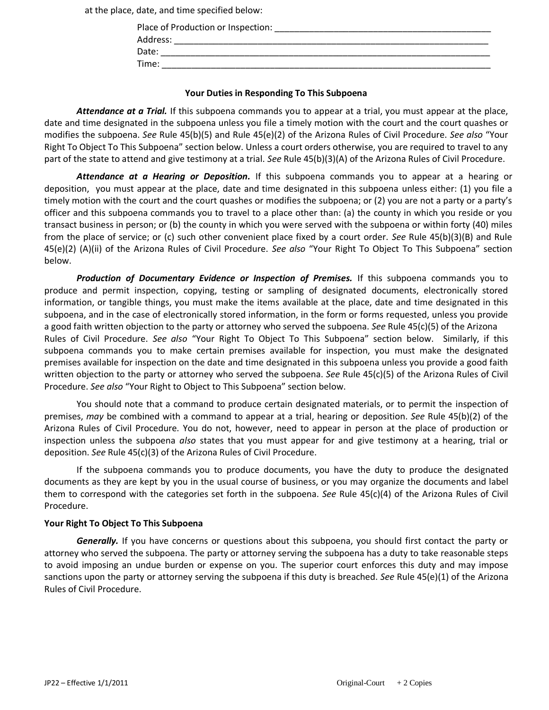at the place, date, and time specified below:

| Place of Production or Inspection: |  |
|------------------------------------|--|
| Address:                           |  |
| Date:                              |  |
| Time:                              |  |
|                                    |  |

## **Your Duties in Responding To This Subpoena**

*Attendance at a Trial.* If this subpoena commands you to appear at a trial, you must appear at the place, date and time designated in the subpoena unless you file a timely motion with the court and the court quashes or modifies the subpoena. *See* Rule 45(b)(5) and Rule 45(e)(2) of the Arizona Rules of Civil Procedure. *See also* "Your Right To Object To This Subpoena" section below. Unless a court orders otherwise, you are required to travel to any part of the state to attend and give testimony at a trial. *See* Rule 45(b)(3)(A) of the Arizona Rules of Civil Procedure.

*Attendance at a Hearing or Deposition.* If this subpoena commands you to appear at a hearing or deposition, you must appear at the place, date and time designated in this subpoena unless either: (1) you file a timely motion with the court and the court quashes or modifies the subpoena; or (2) you are not a party or a party's officer and this subpoena commands you to travel to a place other than: (a) the county in which you reside or you transact business in person; or (b) the county in which you were served with the subpoena or within forty (40) miles from the place of service; or (c) such other convenient place fixed by a court order. *See* Rule 45(b)(3)(B) and Rule 45(e)(2) (A)(ii) of the Arizona Rules of Civil Procedure. *See also* "Your Right To Object To This Subpoena" section below.

**Production of Documentary Evidence or Inspection of Premises.** If this subpoena commands you to produce and permit inspection, copying, testing or sampling of designated documents, electronically stored information, or tangible things, you must make the items available at the place, date and time designated in this subpoena, and in the case of electronically stored information, in the form or forms requested, unless you provide a good faith written objection to the party or attorney who served the subpoena. *See* Rule 45(c)(5) of the Arizona Rules of Civil Procedure. *See also* "Your Right To Object To This Subpoena" section below. Similarly, if this subpoena commands you to make certain premises available for inspection, you must make the designated premises available for inspection on the date and time designated in this subpoena unless you provide a good faith written objection to the party or attorney who served the subpoena. *See* Rule 45(c)(5) of the Arizona Rules of Civil Procedure. *See also* "Your Right to Object to This Subpoena" section below.

You should note that a command to produce certain designated materials, or to permit the inspection of premises, *may* be combined with a command to appear at a trial, hearing or deposition. *See* Rule 45(b)(2) of the Arizona Rules of Civil Procedure. You do not, however, need to appear in person at the place of production or inspection unless the subpoena *also* states that you must appear for and give testimony at a hearing, trial or deposition. *See* Rule 45(c)(3) of the Arizona Rules of Civil Procedure.

If the subpoena commands you to produce documents, you have the duty to produce the designated documents as they are kept by you in the usual course of business, or you may organize the documents and label them to correspond with the categories set forth in the subpoena. *See* Rule 45(c)(4) of the Arizona Rules of Civil Procedure.

## **Your Right To Object To This Subpoena**

*Generally.* If you have concerns or questions about this subpoena, you should first contact the party or attorney who served the subpoena. The party or attorney serving the subpoena has a duty to take reasonable steps to avoid imposing an undue burden or expense on you. The superior court enforces this duty and may impose sanctions upon the party or attorney serving the subpoena if this duty is breached. *See* Rule 45(e)(1) of the Arizona Rules of Civil Procedure.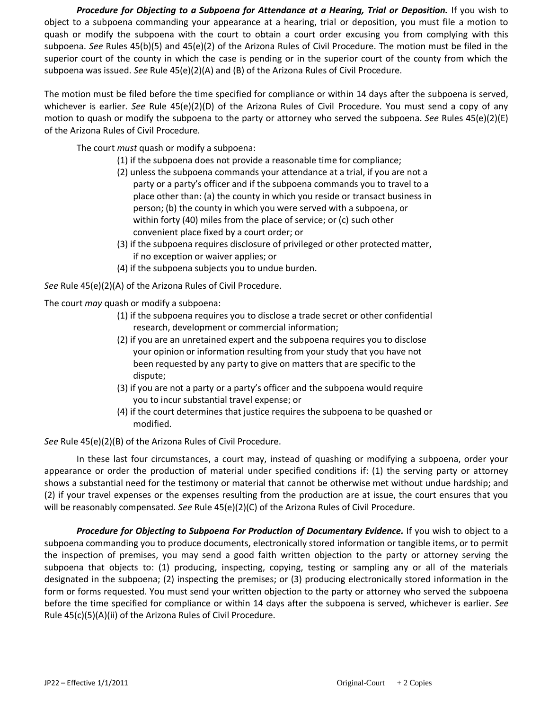Procedure for Objecting to a Subpoena for Attendance at a Hearing, Trial or Deposition. If you wish to object to a subpoena commanding your appearance at a hearing, trial or deposition, you must file a motion to quash or modify the subpoena with the court to obtain a court order excusing you from complying with this subpoena. *See* Rules 45(b)(5) and 45(e)(2) of the Arizona Rules of Civil Procedure. The motion must be filed in the superior court of the county in which the case is pending or in the superior court of the county from which the subpoena was issued. *See* Rule 45(e)(2)(A) and (B) of the Arizona Rules of Civil Procedure.

The motion must be filed before the time specified for compliance or within 14 days after the subpoena is served, whichever is earlier. *See* Rule 45(e)(2)(D) of the Arizona Rules of Civil Procedure. You must send a copy of any motion to quash or modify the subpoena to the party or attorney who served the subpoena. *See* Rules 45(e)(2)(E) of the Arizona Rules of Civil Procedure.

The court *must* quash or modify a subpoena:

- (1) if the subpoena does not provide a reasonable time for compliance;
- (2) unless the subpoena commands your attendance at a trial, if you are not a party or a party's officer and if the subpoena commands you to travel to a place other than: (a) the county in which you reside or transact business in person; (b) the county in which you were served with a subpoena, or within forty (40) miles from the place of service; or (c) such other convenient place fixed by a court order; or
- (3) if the subpoena requires disclosure of privileged or other protected matter, if no exception or waiver applies; or
- (4) if the subpoena subjects you to undue burden.

*See* Rule 45(e)(2)(A) of the Arizona Rules of Civil Procedure.

The court *may* quash or modify a subpoena:

- (1) if the subpoena requires you to disclose a trade secret or other confidential research, development or commercial information;
- (2) if you are an unretained expert and the subpoena requires you to disclose your opinion or information resulting from your study that you have not been requested by any party to give on matters that are specific to the dispute;
- (3) if you are not a party or a party's officer and the subpoena would require you to incur substantial travel expense; or
- (4) if the court determines that justice requires the subpoena to be quashed or modified.

*See* Rule 45(e)(2)(B) of the Arizona Rules of Civil Procedure.

In these last four circumstances, a court may, instead of quashing or modifying a subpoena, order your appearance or order the production of material under specified conditions if: (1) the serving party or attorney shows a substantial need for the testimony or material that cannot be otherwise met without undue hardship; and (2) if your travel expenses or the expenses resulting from the production are at issue, the court ensures that you will be reasonably compensated. *See* Rule 45(e)(2)(C) of the Arizona Rules of Civil Procedure.

*Procedure for Objecting to Subpoena For Production of Documentary Evidence.* If you wish to object to a subpoena commanding you to produce documents, electronically stored information or tangible items, or to permit the inspection of premises, you may send a good faith written objection to the party or attorney serving the subpoena that objects to: (1) producing, inspecting, copying, testing or sampling any or all of the materials designated in the subpoena; (2) inspecting the premises; or (3) producing electronically stored information in the form or forms requested. You must send your written objection to the party or attorney who served the subpoena before the time specified for compliance or within 14 days after the subpoena is served, whichever is earlier. *See*  Rule 45(c)(5)(A)(ii) of the Arizona Rules of Civil Procedure.